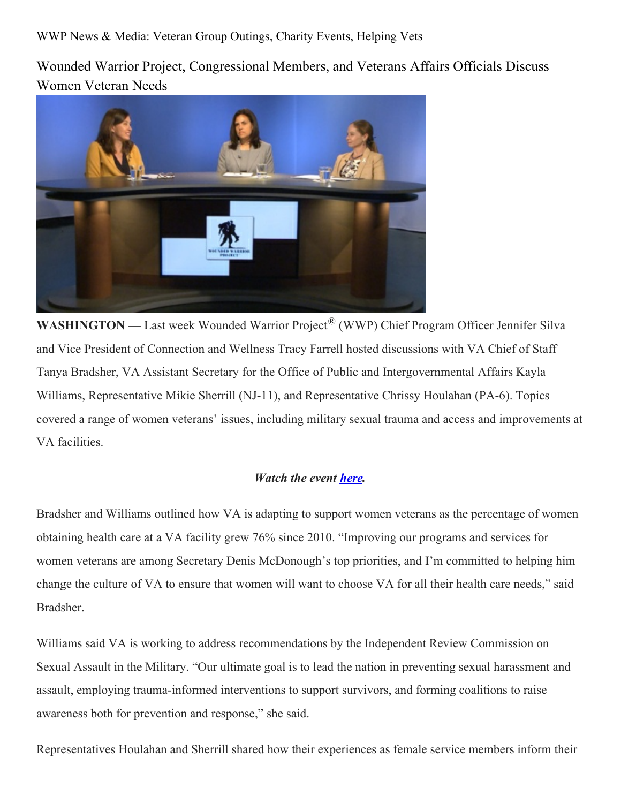WWP News & Media: Veteran Group Outings, Charity Events, Helping Vets

Wounded Warrior Project, Congressional Members, and Veterans Affairs Officials Discuss Women Veteran Needs



**WASHINGTON** — Last week Wounded Warrior Project<sup>®</sup> (WWP) Chief Program Officer Jennifer Silva and Vice President of Connection and Wellness Tracy Farrell hosted discussions with VA Chief of Staff Tanya Bradsher, VA Assistant Secretary for the Office of Public and Intergovernmental Affairs Kayla Williams, Representative Mikie Sherrill (NJ-11), and Representative Chrissy Houlahan (PA-6). Topics covered a range of women veterans' issues, including military sexual trauma and access and improvements at VA facilities.

## *Watch the event [here.](https://www.workcast.com/AuditoriumAuthenticator.aspx?pak=2657432929842775&cpak=6225609219488618)*

Bradsher and Williams outlined how VA is adapting to support women veterans as the percentage of women obtaining health care at a VA facility grew 76% since 2010. "Improving our programs and services for women veterans are among Secretary Denis McDonough's top priorities, and I'm committed to helping him change the culture of VA to ensure that women will want to choose VA for all their health care needs," said Bradsher.

Williams said VA is working to address recommendations by the Independent Review Commission on Sexual Assault in the Military. "Our ultimate goal is to lead the nation in preventing sexual harassment and assault, employing trauma-informed interventions to support survivors, and forming coalitions to raise awareness both for prevention and response," she said.

Representatives Houlahan and Sherrill shared how their experiences as female service members inform their